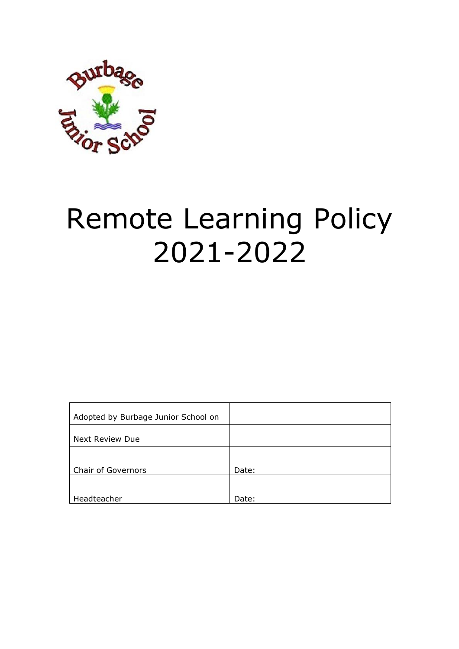

# Remote Learning Policy 2021-2022

| Adopted by Burbage Junior School on |       |
|-------------------------------------|-------|
| Next Review Due                     |       |
|                                     |       |
| <b>Chair of Governors</b>           | Date: |
| Headteacher                         | Date: |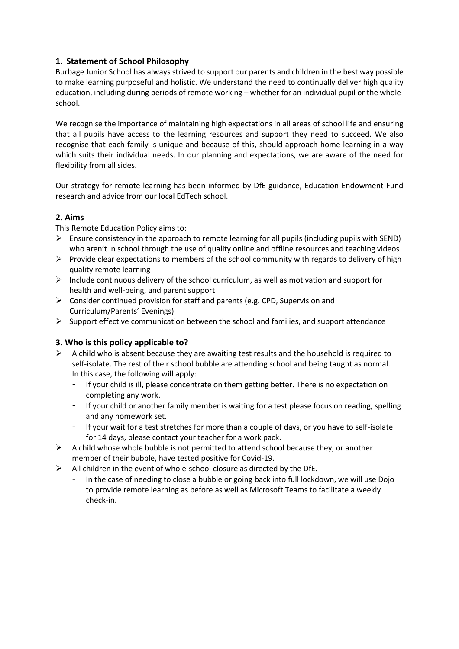# **1. Statement of School Philosophy**

Burbage Junior School has always strived to support our parents and children in the best way possible to make learning purposeful and holistic. We understand the need to continually deliver high quality education, including during periods of remote working – whether for an individual pupil or the wholeschool.

We recognise the importance of maintaining high expectations in all areas of school life and ensuring that all pupils have access to the learning resources and support they need to succeed. We also recognise that each family is unique and because of this, should approach home learning in a way which suits their individual needs. In our planning and expectations, we are aware of the need for flexibility from all sides.

Our strategy for remote learning has been informed by DfE guidance, Education Endowment Fund research and advice from our local EdTech school.

# **2. Aims**

This Remote Education Policy aims to:

- $\triangleright$  Ensure consistency in the approach to remote learning for all pupils (including pupils with SEND) who aren't in school through the use of quality online and offline resources and teaching videos
- $\triangleright$  Provide clear expectations to members of the school community with regards to delivery of high quality remote learning
- $\triangleright$  Include continuous delivery of the school curriculum, as well as motivation and support for health and well-being, and parent support
- $\triangleright$  Consider continued provision for staff and parents (e.g. CPD, Supervision and Curriculum/Parents' Evenings)
- $\triangleright$  Support effective communication between the school and families, and support attendance

# **3. Who is this policy applicable to?**

- $\triangleright$  A child who is absent because they are awaiting test results and the household is required to self-isolate. The rest of their school bubble are attending school and being taught as normal. In this case, the following will apply:
	- If your child is ill, please concentrate on them getting better. There is no expectation on completing any work.
	- If your child or another family member is waiting for a test please focus on reading, spelling and any homework set.
	- If your wait for a test stretches for more than a couple of days, or you have to self-isolate for 14 days, please contact your teacher for a work pack.
- $\triangleright$  A child whose whole bubble is not permitted to attend school because they, or another member of their bubble, have tested positive for Covid-19.
- $\triangleright$  All children in the event of whole-school closure as directed by the DfE.
	- In the case of needing to close a bubble or going back into full lockdown, we will use Dojo to provide remote learning as before as well as Microsoft Teams to facilitate a weekly check-in.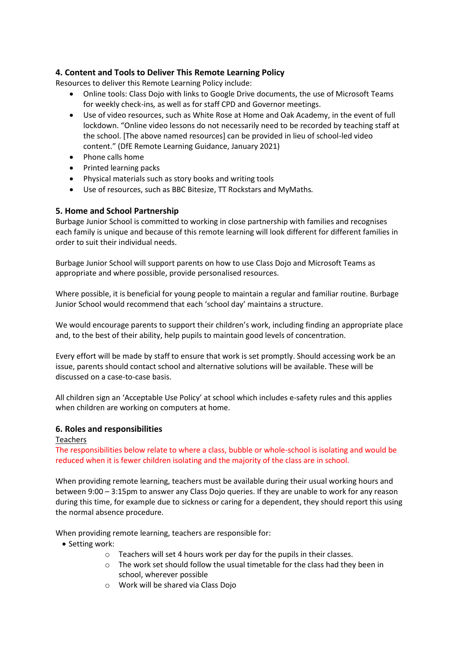# **4. Content and Tools to Deliver This Remote Learning Policy**

Resources to deliver this Remote Learning Policy include:

- Online tools: Class Dojo with links to Google Drive documents, the use of Microsoft Teams for weekly check-ins*,* as well as for staff CPD and Governor meetings.
- Use of video resources, such as White Rose at Home and Oak Academy, in the event of full lockdown. "Online video lessons do not necessarily need to be recorded by teaching staff at the school. [The above named resources] can be provided in lieu of school-led video content." (DfE Remote Learning Guidance, January 2021)
- Phone calls home
- Printed learning packs
- Physical materials such as story books and writing tools
- Use of resources, such as BBC Bitesize, TT Rockstars and MyMaths*.*

## **5. Home and School Partnership**

Burbage Junior School is committed to working in close partnership with families and recognises each family is unique and because of this remote learning will look different for different families in order to suit their individual needs.

Burbage Junior School will support parents on how to use Class Dojo and Microsoft Teams as appropriate and where possible, provide personalised resources.

Where possible, it is beneficial for young people to maintain a regular and familiar routine. Burbage Junior School would recommend that each 'school day' maintains a structure.

We would encourage parents to support their children's work, including finding an appropriate place and, to the best of their ability, help pupils to maintain good levels of concentration.

Every effort will be made by staff to ensure that work is set promptly. Should accessing work be an issue, parents should contact school and alternative solutions will be available. These will be discussed on a case-to-case basis.

All children sign an 'Acceptable Use Policy' at school which includes e-safety rules and this applies when children are working on computers at home.

#### **6. Roles and responsibilities**

#### Teachers

The responsibilities below relate to where a class, bubble or whole-school is isolating and would be reduced when it is fewer children isolating and the majority of the class are in school.

When providing remote learning, teachers must be available during their usual working hours and between 9:00 – 3:15pm to answer any Class Dojo queries. If they are unable to work for any reason during this time, for example due to sickness or caring for a dependent, they should report this using the normal absence procedure.

When providing remote learning, teachers are responsible for:

- Setting work:
	- o Teachers will set 4 hours work per day for the pupils in their classes.
	- o The work set should follow the usual timetable for the class had they been in school, wherever possible
	- o Work will be shared via Class Dojo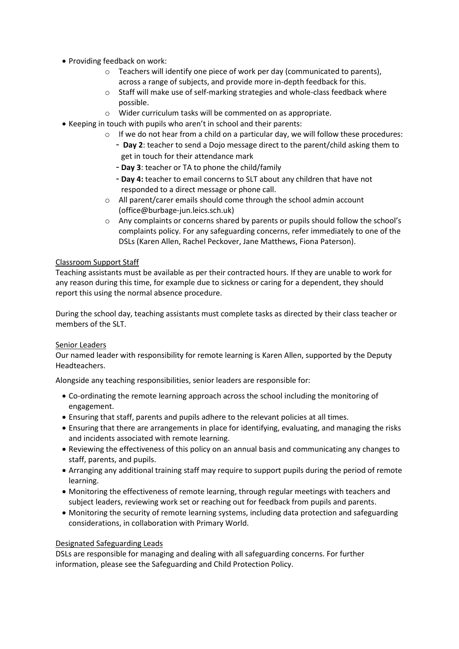- Providing feedback on work:
	- o Teachers will identify one piece of work per day (communicated to parents), across a range of subjects, and provide more in-depth feedback for this.
	- o Staff will make use of self-marking strategies and whole-class feedback where possible.
	- o Wider curriculum tasks will be commented on as appropriate.
- Keeping in touch with pupils who aren't in school and their parents:
	- $\circ$  If we do not hear from a child on a particular day, we will follow these procedures:
		- **Day 2**: teacher to send a Dojo message direct to the parent/child asking them to get in touch for their attendance mark
		- **Day 3**: teacher or TA to phone the child/family
		- **Day 4:** teacher to email concerns to SLT about any children that have not responded to a direct message or phone call.
	- o All parent/carer emails should come through the school admin account (office@burbage-jun.leics.sch.uk)
	- o Any complaints or concerns shared by parents or pupils should follow the school's complaints policy. For any safeguarding concerns, refer immediately to one of the DSLs (Karen Allen, Rachel Peckover, Jane Matthews, Fiona Paterson).

#### Classroom Support Staff

Teaching assistants must be available as per their contracted hours. If they are unable to work for any reason during this time, for example due to sickness or caring for a dependent, they should report this using the normal absence procedure.

During the school day, teaching assistants must complete tasks as directed by their class teacher or members of the SLT.

#### Senior Leaders

Our named leader with responsibility for remote learning is Karen Allen, supported by the Deputy Headteachers.

Alongside any teaching responsibilities, senior leaders are responsible for:

- Co-ordinating the remote learning approach across the school including the monitoring of engagement.
- Ensuring that staff, parents and pupils adhere to the relevant policies at all times.
- Ensuring that there are arrangements in place for identifying, evaluating, and managing the risks and incidents associated with remote learning.
- Reviewing the effectiveness of this policy on an annual basis and communicating any changes to staff, parents, and pupils.
- Arranging any additional training staff may require to support pupils during the period of remote learning.
- Monitoring the effectiveness of remote learning, through regular meetings with teachers and subject leaders, reviewing work set or reaching out for feedback from pupils and parents.
- Monitoring the security of remote learning systems, including data protection and safeguarding considerations, in collaboration with Primary World.

#### Designated Safeguarding Leads

DSLs are responsible for managing and dealing with all safeguarding concerns. For further information, please see the Safeguarding and Child Protection Policy.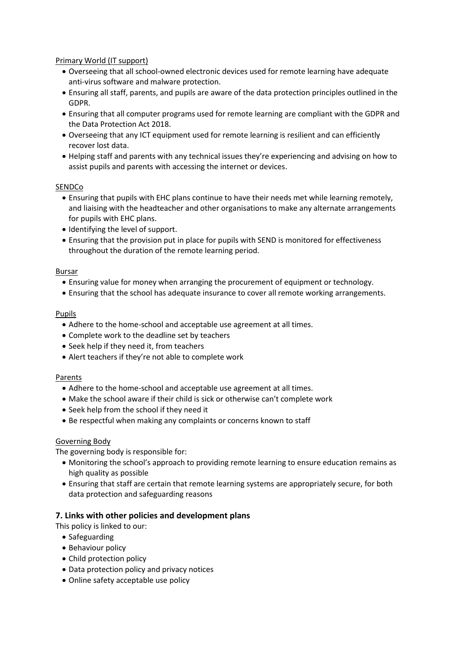## Primary World (IT support)

- Overseeing that all school-owned electronic devices used for remote learning have adequate anti-virus software and malware protection.
- Ensuring all staff, parents, and pupils are aware of the data protection principles outlined in the GDPR.
- Ensuring that all computer programs used for remote learning are compliant with the GDPR and the Data Protection Act 2018.
- Overseeing that any ICT equipment used for remote learning is resilient and can efficiently recover lost data.
- Helping staff and parents with any technical issues they're experiencing and advising on how to assist pupils and parents with accessing the internet or devices.

## **SENDCo**

- Ensuring that pupils with EHC plans continue to have their needs met while learning remotely, and liaising with the headteacher and other organisations to make any alternate arrangements for pupils with EHC plans.
- Identifying the level of support.
- Ensuring that the provision put in place for pupils with SEND is monitored for effectiveness throughout the duration of the remote learning period.

#### Bursar

- Ensuring value for money when arranging the procurement of equipment or technology.
- Ensuring that the school has adequate insurance to cover all remote working arrangements.

#### Pupils

- Adhere to the home-school and acceptable use agreement at all times.
- Complete work to the deadline set by teachers
- Seek help if they need it, from teachers
- Alert teachers if they're not able to complete work

#### Parents

- Adhere to the home-school and acceptable use agreement at all times.
- Make the school aware if their child is sick or otherwise can't complete work
- Seek help from the school if they need it
- Be respectful when making any complaints or concerns known to staff

# Governing Body

The governing body is responsible for:

- Monitoring the school's approach to providing remote learning to ensure education remains as high quality as possible
- Ensuring that staff are certain that remote learning systems are appropriately secure, for both data protection and safeguarding reasons

# **7. Links with other policies and development plans**

This policy is linked to our:

- Safeguarding
- Behaviour policy
- Child protection policy
- Data protection policy and privacy notices
- Online safety acceptable use policy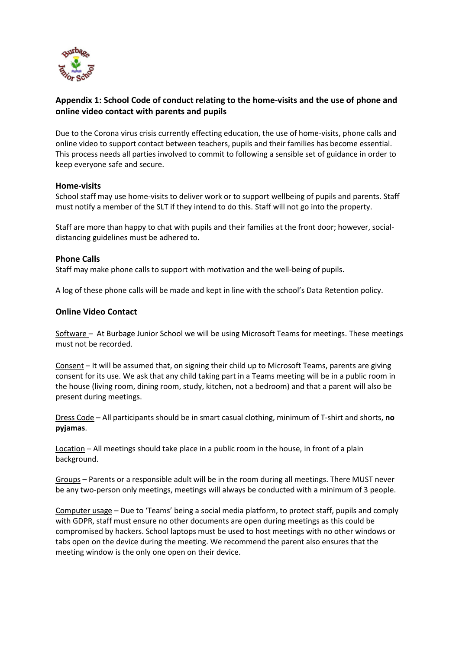

# **Appendix 1: School Code of conduct relating to the home-visits and the use of phone and online video contact with parents and pupils**

Due to the Corona virus crisis currently effecting education, the use of home-visits, phone calls and online video to support contact between teachers, pupils and their families has become essential. This process needs all parties involved to commit to following a sensible set of guidance in order to keep everyone safe and secure.

## **Home-visits**

School staff may use home-visits to deliver work or to support wellbeing of pupils and parents. Staff must notify a member of the SLT if they intend to do this. Staff will not go into the property.

Staff are more than happy to chat with pupils and their families at the front door; however, socialdistancing guidelines must be adhered to.

# **Phone Calls**

Staff may make phone calls to support with motivation and the well-being of pupils.

A log of these phone calls will be made and kept in line with the school's Data Retention policy.

## **Online Video Contact**

Software – At Burbage Junior School we will be using Microsoft Teams for meetings. These meetings must not be recorded.

Consent – It will be assumed that, on signing their child up to Microsoft Teams, parents are giving consent for its use. We ask that any child taking part in a Teams meeting will be in a public room in the house (living room, dining room, study, kitchen, not a bedroom) and that a parent will also be present during meetings.

Dress Code – All participants should be in smart casual clothing, minimum of T-shirt and shorts, **no pyjamas**.

Location – All meetings should take place in a public room in the house, in front of a plain background.

Groups – Parents or a responsible adult will be in the room during all meetings. There MUST never be any two-person only meetings, meetings will always be conducted with a minimum of 3 people.

Computer usage – Due to 'Teams' being a social media platform, to protect staff, pupils and comply with GDPR, staff must ensure no other documents are open during meetings as this could be compromised by hackers. School laptops must be used to host meetings with no other windows or tabs open on the device during the meeting. We recommend the parent also ensures that the meeting window is the only one open on their device.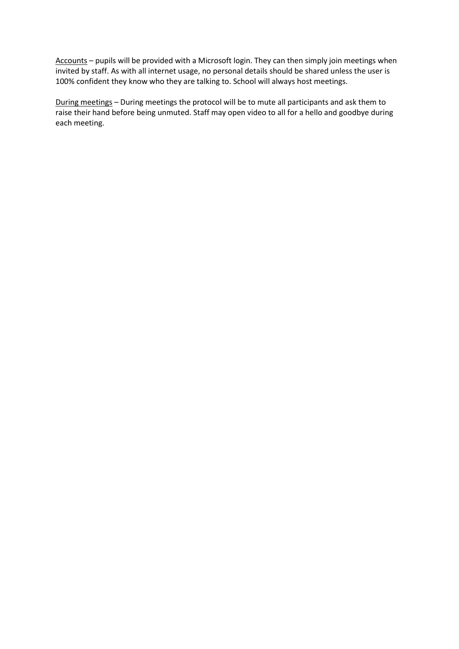Accounts – pupils will be provided with a Microsoft login. They can then simply join meetings when invited by staff. As with all internet usage, no personal details should be shared unless the user is 100% confident they know who they are talking to. School will always host meetings.

During meetings – During meetings the protocol will be to mute all participants and ask them to raise their hand before being unmuted. Staff may open video to all for a hello and goodbye during each meeting.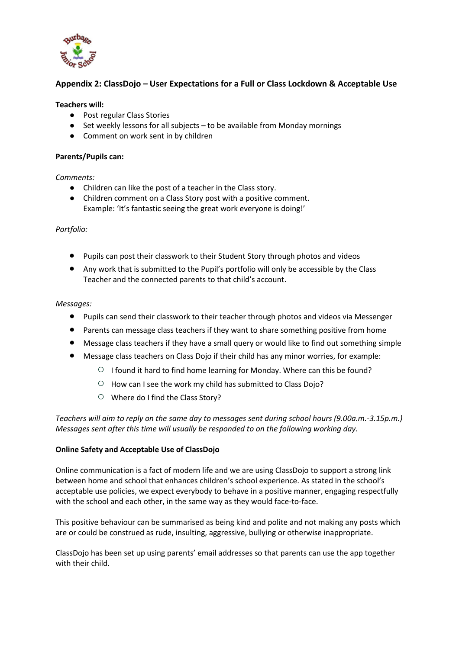

# **Appendix 2: ClassDojo – User Expectations for a Full or Class Lockdown & Acceptable Use**

## **Teachers will:**

- Post regular Class Stories
- Set weekly lessons for all subjects to be available from Monday mornings
- Comment on work sent in by children

#### **Parents/Pupils can:**

*Comments:* 

- Children can like the post of a teacher in the Class story.
- Children comment on a Class Story post with a positive comment. Example: 'It's fantastic seeing the great work everyone is doing!'

*Portfolio:* 

- Pupils can post their classwork to their Student Story through photos and videos
- Any work that is submitted to the Pupil's portfolio will only be accessible by the Class Teacher and the connected parents to that child's account.

## *Messages:*

- Pupils can send their classwork to their teacher through photos and videos via Messenger
- Parents can message class teachers if they want to share something positive from home
- Message class teachers if they have a small query or would like to find out something simple
- Message class teachers on Class Dojo if their child has any minor worries, for example:
	- I found it hard to find home learning for Monday. Where can this be found?
	- How can I see the work my child has submitted to Class Dojo?
	- Where do I find the Class Story?

*Teachers will aim to reply on the same day to messages sent during school hours (9.00a.m.-3.15p.m.) Messages sent after this time will usually be responded to on the following working day.*

#### **Online Safety and Acceptable Use of ClassDojo**

Online communication is a fact of modern life and we are using ClassDojo to support a strong link between home and school that enhances children's school experience. As stated in the school's acceptable use policies, we expect everybody to behave in a positive manner, engaging respectfully with the school and each other, in the same way as they would face-to-face.

This positive behaviour can be summarised as being kind and polite and not making any posts which are or could be construed as rude, insulting, aggressive, bullying or otherwise inappropriate.

ClassDojo has been set up using parents' email addresses so that parents can use the app together with their child.